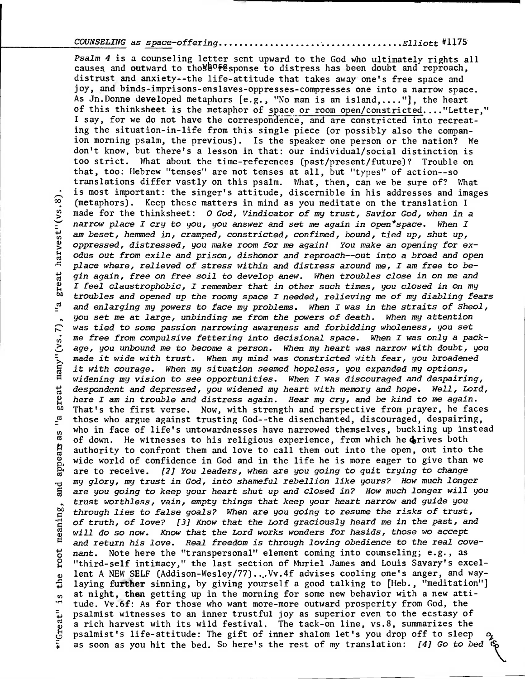## COUNSELING as space-offering Elliott # <sup>1</sup> <sup>1</sup> 75

Psalm **4** is a counseling letter sent upward to the God who ultimately rights all causes and outward to tho  $\mathbb{R}^6$  response to distress has been doubt and reproach, distrust and anxiety--the life-attitude that takes away one's free space and joy, and binds-imprisons-enslaves-oppresses-compresses one into a narrow space. As Jn.Donne developed metaphors  $[e.g., "No man is an island, ..."]$ , the heart of this thinksheet is the metaphor of space or room open/constricted...."Letter," I say, for we do not have the correspondence, and are constricted into recreating the situation-in-life from this single piece (or possibly also the companion morning psalm, the previous). Is the speaker one person or the nation? We don't know, but there's a lesson in that: our individual/social distinction is too strict. What about the time-references (past/present/future)? Trouble on that, too: Hebrew "tenses" are not tenses at all, but "types" of action--so translations differ vastly on this psalm. What, then, can we be sure of? What is most important: the singer's attitude, discernible in his addresses and images W. (metaphors). Keep these matters in mind as you meditate on the translation I<br>
and for the thinksheet: O God, Vindicator of my trust, Savior God, when in<br>
an I and to the thinksheet: O God, Vindicator of my trust, Savior made for the thinksheet: O God, Vindicator of my trust, Savior God, when in a narrow place I cry to you, you answer and set me again in open\*space. When I am beset, hemmed in, cramped, constricted, confimed, bound, tied up, shut up, oppressed, distressed, you make room for me again! You make an opening for exodus out from exile and prison, dishonor and reproach--out into a broad and open place where, relieved of stress within and distress around me, I am free to begin again, free on free soil to develop anew. When troubles close in on me and<br>gin again, free on free soil to develop anew. When troubles close in on me and<br>gin feel claustrophobic, I remember that in other such times, yo 2 I feel claustrophobic, I remember that in other such times, you closed in on my <sup>to</sup> troubles and opened up the roomy space I needed, relieving me of my diabling fears  $\frac{1}{n}$  and enlarging my powers to face my problems. When I was in the straits of Sheol, and enlarging my powers to face my problems. When I was in the straits of Sheol, , you set me at large, unbinding me from the powers of death. When my attention was tied to some passion narrowing awareness and forbidding wholeness, you set me free from compulsive fettering into decisional space. When I was only a package, you unbound me to become a person. When my heart was narrow with doubt, you was tied to some passion narrowing awareness and forbidding wholeness, you set<br>
in me free from compulsive fettering into decisional space. When I was only a pack<br>
2 age, you unbound me to become a person. When my heart wa it with courage. When my situation seemed hopeless, you expanded my options, E widening my vision to see opportunities. When I was discouraged and despairing,<br>
despondent and depressed, you widened my heart with memory and hope. Well, Lord<br>
there I am in trouble and distress again. Hear my cry, an despondent and depressed, you widened my heart with memory and hope. Well, Lord, here I am in trouble and distress again. Hear my cry, and be kind to me again.  $\frac{60}{2}$  That's the first verse. Now, with strength and perspective from prayer, he faces those who argue against trusting God--the disenchanted, discouraged, despairing, those who argue against trusting God--the disenchanted, discouraged, despairing, who in face of life's untowardnesses have narrowed themselves, buckling up instead  $\frac{10}{10}$  of down the witnesses to his religious experience from which hedrives both of down. He witnesses to his religious experience, from which he derives both authority to confront them and love to call them out into the open, out into the world of confidence in God and in the life he is more eager to authority to confront them and love to call them out into the open, out into the wide world of confidence in God and in the life he is more eager to give than we are to receive. [2] You leaders, when are you going to quit trying to change my glory, my trust in God, into shameful rebellion like yours? How much longer g my glory, my trust in God, into shameful rebellion like yours? How much longer<br>a are you going to keep your heart shut up and closed in? How much longer will you trust worthless, vain, empty things that keep your heart narrow and guide you<br>through lies to false goals? When are you going to resume the risks of trust,<br>of truth, of love? [3] Know that the Lord graciously heard me in t through lies to false goals? When are you going to resume the risks of trust, of truth, of love? [3] Know that the Lord graciously heard me in the past, and will do so now. Know that the Lord works wonders for hasids, those wo accept  $\frac{1}{6}$  and return his love. Real freedom is through loving obedience to the real cove-<br>  $\frac{1}{6}$  nant. Note here the "transpersonal" element coming into counseling; e.g., as<br>  $\frac{1}{6}$  "third-self intimacy," the last nant. Note here the "transpersonal" element coming into counseling; e.g., as "third-self intimacy," the last section of Muriel James and Louis Savary's excelo lent A NEW SELF (Addison-Wesley/77)...Vv.4f advises cooling one's anger, and way-<br>  $\frac{1}{2}$  laying further sinning, by giving yourself a good talking to [Heb., "meditation"] laying further sinning, by giving yourself a good talking to [Heb., "meditation"] mat night, then getting up in the morning for some new behavior with a new atti-<br>"tude. Vy.6f: As for those who want more-more outward prosperity from God, the tude. Vv.6f: As for those who want more-more outward prosperity from God, the psalmist witnesses to an inner trustful joy as superior even to the ecstasy of<br>a rich harvest with its wild festival. The tack-on line, vs.8, summarizes the<br>psalmist's life-attitude: The gift of inner shalom let's you dro a rich harvest with its wild festival. The tack-on line, vs.8, summarizes the psalmist's life-attitude: The gift of inner shalom let's you drop off to sleep as soon as you hit the bed. So here's the rest of my translation: [4] Go to bed  $\mathfrak{G}$